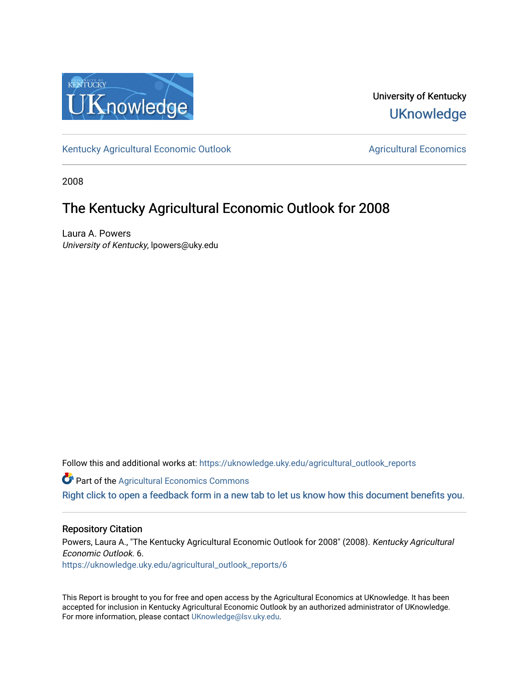

University of Kentucky **UKnowledge** 

[Kentucky Agricultural Economic Outlook](https://uknowledge.uky.edu/agricultural_outlook_reports) [Agricultural Economics](https://uknowledge.uky.edu/agecon) Agricultural Economics

2008

### The Kentucky Agricultural Economic Outlook for 2008

Laura A. Powers University of Kentucky, lpowers@uky.edu

Follow this and additional works at: [https://uknowledge.uky.edu/agricultural\\_outlook\\_reports](https://uknowledge.uky.edu/agricultural_outlook_reports?utm_source=uknowledge.uky.edu%2Fagricultural_outlook_reports%2F6&utm_medium=PDF&utm_campaign=PDFCoverPages) 

**Part of the Agricultural Economics Commons** 

[Right click to open a feedback form in a new tab to let us know how this document benefits you.](https://uky.az1.qualtrics.com/jfe/form/SV_9mq8fx2GnONRfz7)

#### Repository Citation

Powers, Laura A., "The Kentucky Agricultural Economic Outlook for 2008" (2008). Kentucky Agricultural Economic Outlook. 6. [https://uknowledge.uky.edu/agricultural\\_outlook\\_reports/6](https://uknowledge.uky.edu/agricultural_outlook_reports/6?utm_source=uknowledge.uky.edu%2Fagricultural_outlook_reports%2F6&utm_medium=PDF&utm_campaign=PDFCoverPages) 

This Report is brought to you for free and open access by the Agricultural Economics at UKnowledge. It has been accepted for inclusion in Kentucky Agricultural Economic Outlook by an authorized administrator of UKnowledge. For more information, please contact [UKnowledge@lsv.uky.edu.](mailto:UKnowledge@lsv.uky.edu)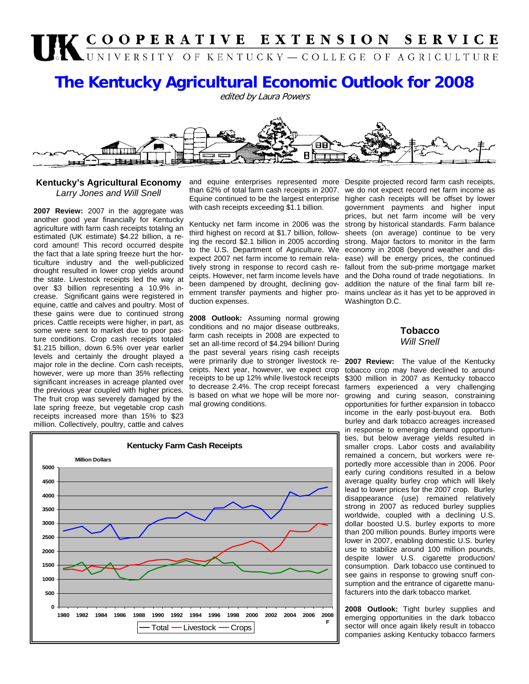# UK COOPERATIVE EXTENSION SERVICE

## **The Kentucky Agricultural Economic Outlook for 2008**

edited by Laura Powers



#### **Kentucky's Agricultural Economy**  *Larry Jones and Will Snell*

**2007 Review:** 2007 in the aggregate was another good year financially for Kentucky agriculture with farm cash receipts totaling an estimated (UK estimate) \$4.22 billion, a record amount! This record occurred despite the fact that a late spring freeze hurt the horticulture industry and the well-publicized drought resulted in lower crop yields around the state. Livestock receipts led the way at over \$3 billion representing a 10.9% increase. Significant gains were registered in equine, cattle and calves and poultry. Most of these gains were due to continued strong prices. Cattle receipts were higher, in part, as some were sent to market due to poor pasture conditions. Crop cash receipts totaled \$1.215 billion, down 6.5% over year earlier levels and certainly the drought played a major role in the decline. Corn cash receipts, however, were up more than 35% reflecting significant increases in acreage planted over the previous year coupled with higher prices. The fruit crop was severely damaged by the late spring freeze, but vegetable crop cash receipts increased more than 15% to \$23 million. Collectively, poultry, cattle and calves

and equine enterprises represented more Despite projected record farm cash receipts, than 62% of total farm cash receipts in 2007. Equine continued to be the largest enterprise with cash receipts exceeding \$1.1 billion.

Kentucky net farm income in 2006 was the third highest on record at \$1.7 billion, following the record \$2.1 billion in 2005 according to the U.S. Department of Agriculture. We expect 2007 net farm income to remain relatively strong in response to record cash receipts. However, net farm income levels have been dampened by drought, declining government transfer payments and higher production expenses.

**2008 Outlook:** Assuming normal growing conditions and no major disease outbreaks, farm cash receipts in 2008 are expected to set an all-time record of \$4.294 billion! During the past several years rising cash receipts were primarily due to stronger livestock receipts. Next year, however, we expect crop receipts to be up 12% while livestock receipts to decrease 2.4%. The crop receipt forecast is based on what we hope will be more normal growing conditions.

**Kentucky Farm Cash Receipts 0 500 1000 1500 2000 2500 3000 3500 4000 4500 5000 1980 1982 1984 1986 1988 1990 1992 1994 1996 1998 2000 2002 2004 2006 2008 F Million Dollars**  $Total$  - Livestock - Crops

we do not expect record net farm income as higher cash receipts will be offset by lower government payments and higher input prices, but net farm income will be very strong by historical standards. Farm balance sheets (on average) continue to be very strong. Major factors to monitor in the farm economy in 2008 (beyond weather and disease) will be energy prices, the continued fallout from the sub-prime mortgage market and the Doha round of trade negotiations. In addition the nature of the final farm bill remains unclear as it has yet to be approved in Washington D.C.

#### **Tobacco Will Snell**

**2007 Review:** The value of the Kentucky tobacco crop may have declined to around \$300 million in 2007 as Kentucky tobacco farmers experienced a very challenging growing and curing season, constraining opportunities for further expansion in tobacco income in the early post-buyout era. Both burley and dark tobacco acreages increased in response to emerging demand opportunities, but below average yields resulted in smaller crops. Labor costs and availability remained a concern, but workers were reportedly more accessible than in 2006. Poor early curing conditions resulted in a below average quality burley crop which will likely lead to lower prices for the 2007 crop. Burley disappearance (use) remained relatively strong in 2007 as reduced burley supplies worldwide, coupled with a declining U.S. dollar boosted U.S. burley exports to more than 200 million pounds. Burley imports were lower in 2007, enabling domestic U.S. burley use to stabilize around 100 million pounds, despite lower U.S. cigarette production/ consumption. Dark tobacco use continued to see gains in response to growing snuff consumption and the entrance of cigarette manufacturers into the dark tobacco market.

**2008 Outlook:** Tight burley supplies and emerging opportunities in the dark tobacco sector will once again likely result in tobacco companies asking Kentucky tobacco farmers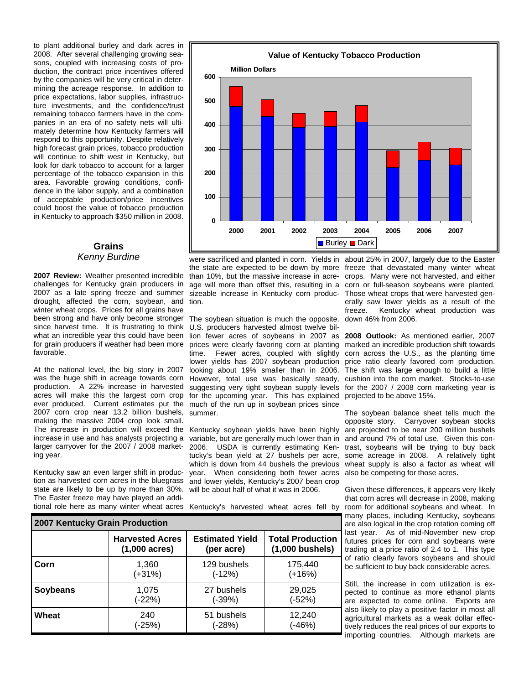to plant additional burley and dark acres in 2008. After several challenging growing seasons, coupled with increasing costs of production, the contract price incentives offered by the companies will be very critical in determining the acreage response. In addition to price expectations, labor supplies, infrastructure investments, and the confidence/trust remaining tobacco farmers have in the companies in an era of no safety nets will ultimately determine how Kentucky farmers will respond to this opportunity. Despite relatively high forecast grain prices, tobacco production will continue to shift west in Kentucky, but look for dark tobacco to account for a larger percentage of the tobacco expansion in this area. Favorable growing conditions, confidence in the labor supply, and a combination of acceptable production/price incentives could boost the value of tobacco production in Kentucky to approach \$350 million in 2008.

#### **Grains**  *Kenny Burdine*

**2007 Review:** Weather presented incredible challenges for Kentucky grain producers in 2007 as a late spring freeze and summer drought, affected the corn, soybean, and winter wheat crops. Prices for all grains have been strong and have only become stronger since harvest time. It is frustrating to think what an incredible year this could have been for grain producers if weather had been more favorable.

At the national level, the big story in 2007 was the huge shift in acreage towards corn production. A 22% increase in harvested acres will make this the largest corn crop ever produced. Current estimates put the much of the run up in soybean prices since 2007 corn crop near 13.2 billion bushels, making the massive 2004 crop look small. The increase in production will exceed the Kentucky soybean yields have been highly increase in use and has analysts projecting a larger carryover for the 2007 / 2008 marketing year.

Kentucky saw an even larger shift in production as harvested corn acres in the bluegrass and lower yields, Kentucky's 2007 bean crop state are likely to be up by more than 30%. The Easter freeze may have played an addi-



age will more than offset this, resulting in a sizeable increase in Kentucky corn production.

The soybean situation is much the opposite. U.S. producers harvested almost twelve biltime. Fewer acres, coupled with slightly lower yields has 2007 soybean production However, total use was basically steady, suggesting very tight soybean supply levels for the upcoming year. This has explained projected to be above 15%. summer.

variable, but are generally much lower than in 2006. USDA is currently estimating Kentucky's bean yield at 27 bushels per acre, which is down from 44 bushels the previous year. When considering both fewer acres will be about half of what it was in 2006.

were sacrificed and planted in corn. Yields in about 25% in 2007, largely due to the Easter the state are expected to be down by more freeze that devastated many winter wheat than 10%, but the massive increase in acre-crops. Many were not harvested, and either corn or full-season soybeans were planted. Those wheat crops that were harvested generally saw lower yields as a result of the freeze. Kentucky wheat production was down 46% from 2006.

lion fewer acres of soybeans in 2007 as **2008 Outlook:** As mentioned earlier, 2007 prices were clearly favoring corn at planting marked an incredible production shift towards looking about 19% smaller than in 2006. The shift was large enough to build a little corn across the U.S., as the planting time price ratio clearly favored corn production. cushion into the corn market. Stocks-to-use for the 2007 / 2008 corn marketing year is

> The soybean balance sheet tells much the opposite story. Carryover soybean stocks are projected to be near 200 million bushels and around 7% of total use. Given this contrast, soybeans will be trying to buy back some acreage in 2008. A relatively tight wheat supply is also a factor as wheat will also be competing for those acres.

tional role here as many winter wheat acres Kentucky's harvested wheat acres fell by room for additional soybeans and wheat. In Given these differences, it appears very likely that corn acres will decrease in 2008, making many places, including Kentucky, soybeans are also logical in the crop rotation coming off last year. As of mid-November new crop futures prices for corn and soybeans were trading at a price ratio of 2.4 to 1. This type of ratio clearly favors soybeans and should be sufficient to buy back considerable acres.

> Still, the increase in corn utilization is expected to continue as more ethanol plants are expected to come online. Exports are also likely to play a positive factor in most all agricultural markets as a weak dollar effectively reduces the real prices of our exports to importing countries. Although markets are

| 2007 Kentucky Grain Production |                         |                        |                         |
|--------------------------------|-------------------------|------------------------|-------------------------|
|                                | <b>Harvested Acres</b>  | <b>Estimated Yield</b> | <b>Total Production</b> |
|                                | $(1,000 \text{ acres})$ | (per acre)             | $(1,000$ bushels)       |
| Corn                           | 1,360                   | 129 bushels            | 175,440                 |
|                                | (+31%)                  | $(-12%)$               | $(+16%)$                |
| <b>Soybeans</b>                | 1,075                   | 27 bushels             | 29,025                  |
|                                | (-22%)                  | (-39%)                 | (-52%)                  |
| Wheat                          | 240                     | 51 bushels             | 12,240                  |
|                                | (-25%)                  | (-28%)                 | $-46%$                  |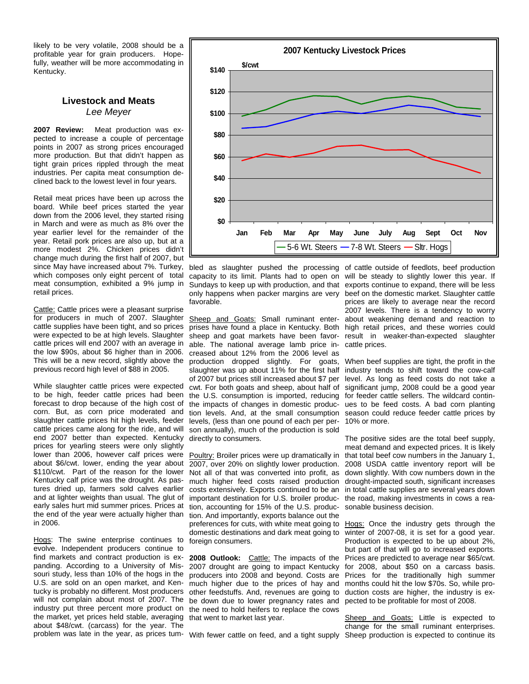likely to be very volatile, 2008 should be a profitable year for grain producers. Hopefully, weather will be more accommodating in Kentucky.

#### **Livestock and Meats**  *Lee Meyer*

**2007 Review:** Meat production was expected to increase a couple of percentage points in 2007 as strong prices encouraged more production. But that didn't happen as tight grain prices rippled through the meat industries. Per capita meat consumption declined back to the lowest level in four years.

Retail meat prices have been up across the board. While beef prices started the year down from the 2006 level, they started rising in March and were as much as 8% over the year earlier level for the remainder of the year. Retail pork prices are also up, but at a more modest 2%. Chicken prices didn't change much during the first half of 2007, but since May have increased about 7%. Turkey, which composes only eight percent of total meat consumption, exhibited a 9% jump in retail prices.

Cattle: Cattle prices were a pleasant surprise for producers in much of 2007. Slaughter cattle supplies have been tight, and so prices were expected to be at high levels. Slaughter cattle prices will end 2007 with an average in the low \$90s, about \$6 higher than in 2006. This will be a new record, slightly above the previous record high level of \$88 in 2005.

While slaughter cattle prices were expected to be high, feeder cattle prices had been forecast to drop because of the high cost of corn. But, as corn price moderated and slaughter cattle prices hit high levels, feeder cattle prices came along for the ride, and will end 2007 better than expected. Kentucky prices for yearling steers were only slightly lower than 2006, however calf prices were about \$6/cwt. lower, ending the year about \$110/cwt. Part of the reason for the lower Kentucky calf price was the drought. As pastures dried up, farmers sold calves earlier and at lighter weights than usual. The glut of early sales hurt mid summer prices. Prices at the end of the year were actually higher than in 2006.

Hogs: The swine enterprise continues to evolve. Independent producers continue to find markets and contract production is expanding. According to a University of Missouri study, less than 10% of the hogs in the U.S. are sold on an open market, and Kentucky is probably no different. Most producers will not complain about most of 2007. The industry put three percent more product on the market, yet prices held stable, averaging that went to market last year. about \$48/cwt. (carcass) for the year. The



favorable.

Sheep and Goats: Small ruminant enterprises have found a place in Kentucky. Both sheep and goat markets have been favorable. The national average lamb price increased about 12% from the 2006 level as production dropped slightly. For goats, slaughter was up about 11% for the first half of 2007 but prices still increased about \$7 per cwt. For both goats and sheep, about half of the U.S. consumption is imported, reducing the impacts of changes in domestic production levels. And, at the small consumption levels, (less than one pound of each per person annually), much of the production is sold directly to consumers.

Poultry: Broiler prices were up dramatically in 2007, over 20% on slightly lower production. Not all of that was converted into profit, as much higher feed costs raised production costs extensively. Exports continued to be an important destination for U.S. broiler production, accounting for 15% of the U.S. production. And importantly, exports balance out the preferences for cuts, with white meat going to domestic destinations and dark meat going to foreign consumers.

2008 Outlook: Cattle: The impacts of the 2007 drought are going to impact Kentucky producers into 2008 and beyond. Costs are much higher due to the prices of hay and other feedstuffs. And, revenues are going to be down due to lower pregnancy rates and the need to hold heifers to replace the cows

bled as slaughter pushed the processing of cattle outside of feedlots, beef production capacity to its limit. Plants had to open on will be steady to slightly lower this year. If Sundays to keep up with production, and that exports continue to expand, there will be less only happens when packer margins are very beef on the domestic market. Slaughter cattle prices are likely to average near the record 2007 levels. There is a tendency to worry about weakening demand and reaction to high retail prices, and these worries could result in weaker-than-expected slaughter cattle prices.

> When beef supplies are tight, the profit in the industry tends to shift toward the cow-calf level. As long as feed costs do not take a significant jump, 2008 could be a good year for feeder cattle sellers. The wildcard continues to be feed costs. A bad corn planting season could reduce feeder cattle prices by 10% or more.

> The positive sides are the total beef supply, meat demand and expected prices. It is likely that total beef cow numbers in the January 1, 2008 USDA cattle inventory report will be down slightly. With cow numbers down in the drought-impacted south, significant increases in total cattle supplies are several years down the road, making investments in cows a reasonable business decision.

> Hogs: Once the industry gets through the winter of 2007-08, it is set for a good year. Production is expected to be up about 2%, but part of that will go to increased exports. Prices are predicted to average near \$65/cwt. for 2008, about \$50 on a carcass basis. Prices for the traditionally high summer months could hit the low \$70s. So, while production costs are higher, the industry is expected to be profitable for most of 2008.

problem was late in the year, as prices tum-With fewer cattle on feed, and a tight supply Sheep production is expected to continue its Sheep and Goats: Little is expected to change for the small ruminant enterprises.